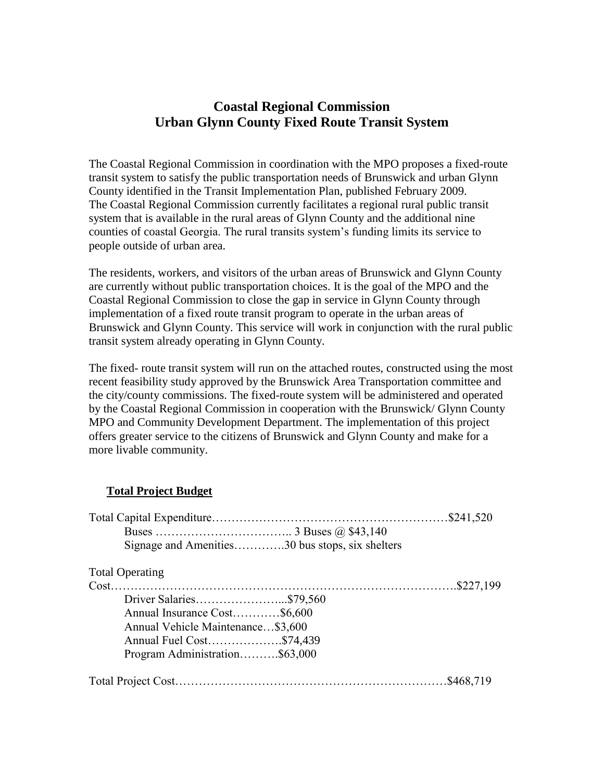## **Coastal Regional Commission Urban Glynn County Fixed Route Transit System**

The Coastal Regional Commission in coordination with the MPO proposes a fixed-route transit system to satisfy the public transportation needs of Brunswick and urban Glynn County identified in the Transit Implementation Plan, published February 2009. The Coastal Regional Commission currently facilitates a regional rural public transit system that is available in the rural areas of Glynn County and the additional nine counties of coastal Georgia. The rural transits system's funding limits its service to people outside of urban area.

The residents, workers, and visitors of the urban areas of Brunswick and Glynn County are currently without public transportation choices. It is the goal of the MPO and the Coastal Regional Commission to close the gap in service in Glynn County through implementation of a fixed route transit program to operate in the urban areas of Brunswick and Glynn County. This service will work in conjunction with the rural public transit system already operating in Glynn County.

The fixed- route transit system will run on the attached routes, constructed using the most recent feasibility study approved by the Brunswick Area Transportation committee and the city/county commissions. The fixed-route system will be administered and operated by the Coastal Regional Commission in cooperation with the Brunswick/ Glynn County MPO and Community Development Department. The implementation of this project offers greater service to the citizens of Brunswick and Glynn County and make for a more livable community.

## **Total Project Budget**

| Signage and Amenities30 bus stops, six shelters |            |
|-------------------------------------------------|------------|
| <b>Total Operating</b>                          |            |
|                                                 |            |
|                                                 |            |
| Annual Insurance Cost\$6,600                    |            |
| Annual Vehicle Maintenance\$3,600               |            |
| Annual Fuel Cost\$74,439                        |            |
| Program Administration\$63,000                  |            |
|                                                 | .\$468,719 |